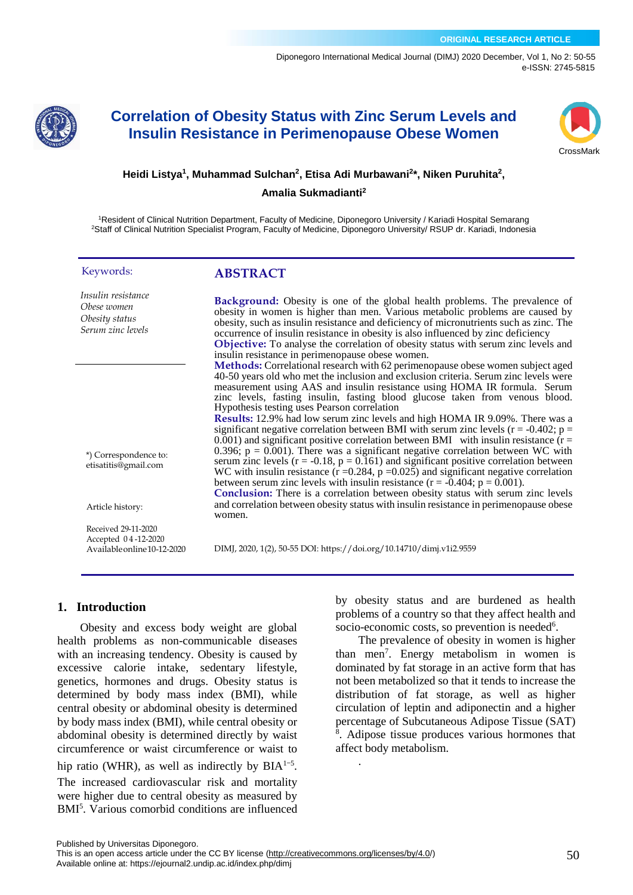[Diponegoro International Medical Journal \(](https://ejournal2.undip.ac.id/index.php/dimj/index)DIMJ) 2020 December, Vol 1, No 2: 50-55 e-ISSN: 2745-5815



# **Correlation of Obesity Status with Zinc Serum Levels and Insulin Resistance in Perimenopause Obese Women**



#### **Heidi Listya<sup>1</sup> , Muhammad Sulchan<sup>2</sup> , Etisa Adi Murbawani<sup>2</sup> \*, Niken Puruhita<sup>2</sup> ,**

#### **Amalia Sukmadianti<sup>2</sup>**

<sup>1</sup>Resident of Clinical Nutrition Department, Faculty of Medicine, Diponegoro University / Kariadi Hospital Semarang <sup>2</sup>Staff of Clinical Nutrition Specialist Program, Faculty of Medicine, Diponegoro University/ RSUP dr. Kariadi, Indonesia

#### Keywords:

# **ABSTRACT**

| Insulin resistance<br>Obese women<br>Obesity status<br>Serum zinc levels  | <b>Background:</b> Obesity is one of the global health problems. The prevalence of<br>obesity in women is higher than men. Various metabolic problems are caused by<br>obesity, such as insulin resistance and deficiency of micronutrients such as zinc. The<br>occurrence of insulin resistance in obesity is also influenced by zinc deficiency<br><b>Objective:</b> To analyse the correlation of obesity status with serum zinc levels and<br>insulin resistance in perimenopause obese women.                                                                                                                                                                                                                                                                                                                                                                                                                                                                                                                                                                                                                            |
|---------------------------------------------------------------------------|--------------------------------------------------------------------------------------------------------------------------------------------------------------------------------------------------------------------------------------------------------------------------------------------------------------------------------------------------------------------------------------------------------------------------------------------------------------------------------------------------------------------------------------------------------------------------------------------------------------------------------------------------------------------------------------------------------------------------------------------------------------------------------------------------------------------------------------------------------------------------------------------------------------------------------------------------------------------------------------------------------------------------------------------------------------------------------------------------------------------------------|
| *) Correspondence to:<br>etisatitis@gmail.com                             | Methods: Correlational research with 62 perimenopause obese women subject aged<br>40-50 years old who met the inclusion and exclusion criteria. Serum zinc levels were<br>measurement using AAS and insulin resistance using HOMA IR formula. Serum<br>zinc levels, fasting insulin, fasting blood glucose taken from venous blood.<br>Hypothesis testing uses Pearson correlation<br>Results: 12.9% had low serum zinc levels and high HOMA IR 9.09%. There was a<br>significant negative correlation between BMI with serum zinc levels ( $r = -0.402$ ; $p =$<br>$0.001$ ) and significant positive correlation between BMI with insulin resistance ( $r =$<br>0.396; $p = 0.001$ ). There was a significant negative correlation between WC with<br>serum zinc levels ( $r = -0.18$ , $p = 0.161$ ) and significant positive correlation between<br>WC with insulin resistance ( $r = 0.284$ , $p = 0.025$ ) and significant negative correlation<br>between serum zinc levels with insulin resistance ( $r = -0.404$ ; $p = 0.001$ ).<br>Conclusion: There is a correlation between obesity status with serum zinc levels |
| Article history:                                                          | and correlation between obesity status with insulin resistance in perimenopause obese<br>women.                                                                                                                                                                                                                                                                                                                                                                                                                                                                                                                                                                                                                                                                                                                                                                                                                                                                                                                                                                                                                                |
| Received 29-11-2020<br>Accepted 04-12-2020<br>Available online 10-12-2020 | DIMJ, 2020, 1(2), 50-55 DOI: https://doi.org/10.14710/dimj.v1i2.9559                                                                                                                                                                                                                                                                                                                                                                                                                                                                                                                                                                                                                                                                                                                                                                                                                                                                                                                                                                                                                                                           |

DIMJ, 2020, 1(2), 50-55 DOI: https://doi.org/10.14710/dimj.v1i2.9559

.

### **1. Introduction**

Obesity and excess body weight are global health problems as non-communicable diseases with an increasing tendency. Obesity is caused by excessive calorie intake, sedentary lifestyle, genetics, hormones and drugs. Obesity status is determined by body mass index (BMI), while central obesity or abdominal obesity is determined by body mass index (BMI), while central obesity or abdominal obesity is determined directly by waist circumference or waist circumference or waist to hip ratio (WHR), as well as indirectly by  $BIA<sup>1-5</sup>$ . The increased cardiovascular risk and mortality were higher due to central obesity as measured by BMI<sup>5</sup> . Various comorbid conditions are influenced by obesity status and are burdened as health problems of a country so that they affect health and socio-economic costs, so prevention is needed<sup>6</sup>.

The prevalence of obesity in women is higher than men<sup>7</sup> . Energy metabolism in women is dominated by fat storage in an active form that has not been metabolized so that it tends to increase the distribution of fat storage, as well as higher circulation of leptin and adiponectin and a higher percentage of Subcutaneous Adipose Tissue (SAT) 8 . Adipose tissue produces various hormones that affect body metabolism.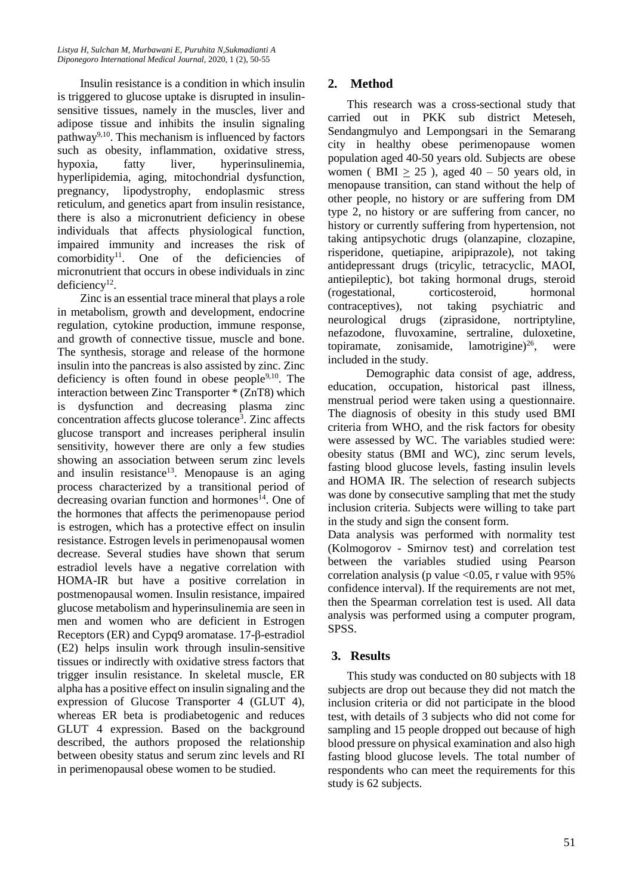Insulin resistance is a condition in which insulin is triggered to glucose uptake is disrupted in insulinsensitive tissues, namely in the muscles, liver and adipose tissue and inhibits the insulin signaling pathway<sup>9,10</sup>. This mechanism is influenced by factors such as obesity, inflammation, oxidative stress, hypoxia, fatty liver, hyperinsulinemia, hyperlipidemia, aging, mitochondrial dysfunction, pregnancy, lipodystrophy, endoplasmic stress reticulum, and genetics apart from insulin resistance, there is also a micronutrient deficiency in obese individuals that affects physiological function, impaired immunity and increases the risk of  $comorbidity<sup>11</sup>$ . One of the deficiencies of micronutrient that occurs in obese individuals in zinc  $deficiency<sup>12</sup>$ .

Zinc is an essential trace mineral that plays a role in metabolism, growth and development, endocrine regulation, cytokine production, immune response, and growth of connective tissue, muscle and bone. The synthesis, storage and release of the hormone insulin into the pancreas is also assisted by zinc. Zinc deficiency is often found in obese people $9,10$ . The interaction between Zinc Transporter \* (ZnT8) which is dysfunction and decreasing plasma zinc concentration affects glucose tolerance<sup>3</sup> . Zinc affects glucose transport and increases peripheral insulin sensitivity, however there are only a few studies showing an association between serum zinc levels and insulin resistance<sup>13</sup>. Menopause is an aging process characterized by a transitional period of decreasing ovarian function and hormones<sup>14</sup>. One of the hormones that affects the perimenopause period is estrogen, which has a protective effect on insulin resistance. Estrogen levels in perimenopausal women decrease. Several studies have shown that serum estradiol levels have a negative correlation with HOMA-IR but have a positive correlation in postmenopausal women. Insulin resistance, impaired glucose metabolism and hyperinsulinemia are seen in men and women who are deficient in Estrogen Receptors (ER) and Cypq9 aromatase. 17-β-estradiol (E2) helps insulin work through insulin-sensitive tissues or indirectly with oxidative stress factors that trigger insulin resistance. In skeletal muscle, ER alpha has a positive effect on insulin signaling and the expression of Glucose Transporter 4 (GLUT 4), whereas ER beta is prodiabetogenic and reduces GLUT 4 expression. Based on the background described, the authors proposed the relationship between obesity status and serum zinc levels and RI in perimenopausal obese women to be studied.

# **2. Method**

This research was a cross-sectional study that carried out in PKK sub district Meteseh, Sendangmulyo and Lempongsari in the Semarang city in healthy obese perimenopause women population aged 40-50 years old. Subjects are obese women ( BMI  $> 25$  ), aged  $40 - 50$  years old, in menopause transition, can stand without the help of other people, no history or are suffering from DM type 2, no history or are suffering from cancer, no history or currently suffering from hypertension, not taking antipsychotic drugs (olanzapine, clozapine, risperidone, quetiapine, aripiprazole), not taking antidepressant drugs (tricylic, tetracyclic, MAOI, antiepileptic), bot taking hormonal drugs, steroid (rogestational, corticosteroid, hormonal contraceptives), not taking psychiatric and neurological drugs (ziprasidone, nortriptyline, nefazodone, fluvoxamine, sertraline, duloxetine, topiramate, zonisamide, lamotrigine) $^{26}$ , were included in the study.

Demographic data consist of age, address, education, occupation, historical past illness, menstrual period were taken using a questionnaire. The diagnosis of obesity in this study used BMI criteria from WHO, and the risk factors for obesity were assessed by WC. The variables studied were: obesity status (BMI and WC), zinc serum levels, fasting blood glucose levels, fasting insulin levels and HOMA IR. The selection of research subjects was done by consecutive sampling that met the study inclusion criteria. Subjects were willing to take part in the study and sign the consent form.

Data analysis was performed with normality test (Kolmogorov - Smirnov test) and correlation test between the variables studied using Pearson correlation analysis (p value  $\langle 0.05$ , r value with 95% confidence interval). If the requirements are not met, then the Spearman correlation test is used. All data analysis was performed using a computer program, SPSS.

# **3. Results**

This study was conducted on 80 subjects with 18 subjects are drop out because they did not match the inclusion criteria or did not participate in the blood test, with details of 3 subjects who did not come for sampling and 15 people dropped out because of high blood pressure on physical examination and also high fasting blood glucose levels. The total number of respondents who can meet the requirements for this study is 62 subjects.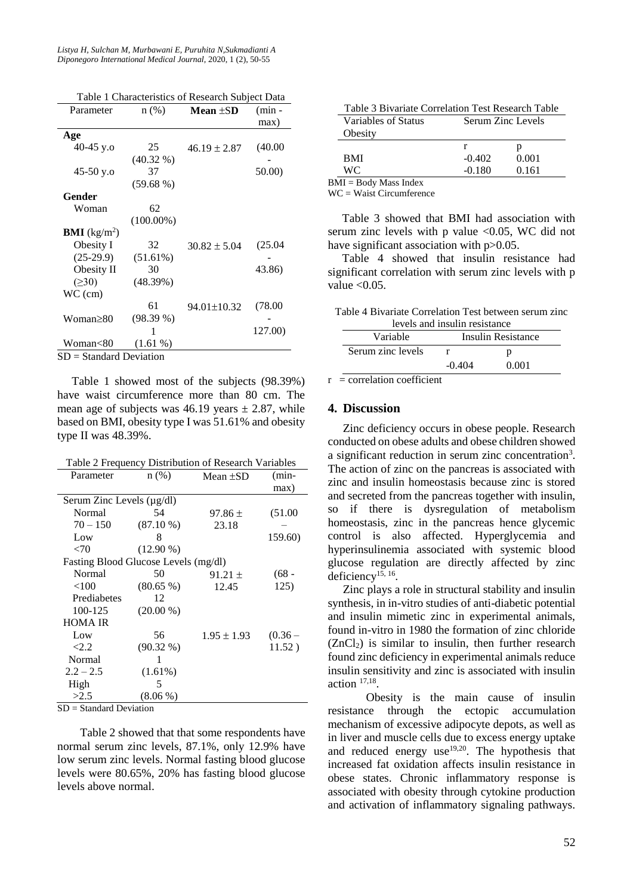*Listya H, Sulchan M, Murbawani E, Puruhita N,Sukmadianti A Diponegoro International Medical Journal,* 2020, 1 (2), 50-55

| Table 1 Characteristics of Research Subject Data |  |
|--------------------------------------------------|--|
|--------------------------------------------------|--|

| Parameter               | $n$ (%)      | Mean $\pm SD$     | $(min -$ |
|-------------------------|--------------|-------------------|----------|
|                         |              |                   | max)     |
| Age                     |              |                   |          |
| 40-45 y.o               | 25           | $46.19 \pm 2.87$  | (40.00)  |
|                         | $(40.32\% )$ |                   |          |
| $45-50$ y.o             | 37           |                   | 50.00)   |
|                         | (59.68%)     |                   |          |
| Gender                  |              |                   |          |
| Woman                   | 62           |                   |          |
|                         | $(100.00\%)$ |                   |          |
| <b>BMI</b> ( $kg/m2$ )  |              |                   |          |
| Obesity I               | 32           | $30.82 \pm 5.04$  | (25.04)  |
| $(25-29.9)$             | (51.61%)     |                   |          |
| Obesity II              | 30           |                   | 43.86)   |
| $( \ge 30)$             | (48.39%)     |                   |          |
| WC (cm)                 |              |                   |          |
|                         | 61           | $94.01 \pm 10.32$ | (78.00)  |
| Woman≥80                | (98.39%)     |                   |          |
|                         | 1            |                   | 127.00)  |
| Woman<80                | $(1.61\%)$   |                   |          |
| SD = Standard Deviation |              |                   |          |

Table 1 showed most of the subjects (98.39%) have waist circumference more than 80 cm. The mean age of subjects was  $46.19$  years  $\pm 2.87$ , while based on BMI, obesity type I was 51.61% and obesity type II was 48.39%.

| Table 2 Frequency Distribution of Research Variables |             |                 |           |
|------------------------------------------------------|-------------|-----------------|-----------|
| Parameter                                            | $n$ (%)     | Mean $\pm SD$   | $(min-$   |
|                                                      |             |                 | max)      |
| Serum Zinc Levels (µg/dl)                            |             |                 |           |
| Normal                                               | 54          | $97.86 \pm$     | (51.00)   |
| $70 - 150$                                           | $(87.10\%)$ | 23.18           |           |
| Low                                                  | 8           |                 | 159.60)   |
| <70                                                  | $(12.90\%)$ |                 |           |
| Fasting Blood Glucose Levels (mg/dl)                 |             |                 |           |
| Normal                                               | 50          | $91.21 \pm$     | $(68 -$   |
| $<$ 100                                              | $(80.65\%)$ | 12.45           | 125)      |
| Prediabetes                                          | 12          |                 |           |
| 100-125                                              | $(20.00\%)$ |                 |           |
| HOMA IR                                              |             |                 |           |
| Low                                                  | 56          | $1.95 \pm 1.93$ | $(0.36 -$ |
| < 2.2                                                | $(90.32\%)$ |                 | 11.52)    |
| Normal                                               | 1           |                 |           |
| $2.2 - 2.5$                                          | (1.61%)     |                 |           |
| High                                                 | 5           |                 |           |
| >2.5                                                 | $(8.06\%)$  |                 |           |

 $SD = Standard Deviation$ 

Table 2 showed that that some respondents have normal serum zinc levels, 87.1%, only 12.9% have low serum zinc levels. Normal fasting blood glucose levels were 80.65%, 20% has fasting blood glucose levels above normal.

| Table 3 Bivariate Correlation Test Research Table |                   |       |  |
|---------------------------------------------------|-------------------|-------|--|
| Variables of Status                               | Serum Zinc Levels |       |  |
| Obesity                                           |                   |       |  |
|                                                   |                   |       |  |
| <b>BMI</b>                                        | $-0.402$          | 0.001 |  |
| WC.                                               | $-0.180$          | 0.161 |  |
| $BMI = Body Mass Index$                           |                   |       |  |

WC = Waist Circumference

Table 3 showed that BMI had association with serum zinc levels with p value  $\leq 0.05$ . WC did not have significant association with p>0.05.

Table 4 showed that insulin resistance had significant correlation with serum zinc levels with p value  $< 0.05$ .

Table 4 Bivariate Correlation Test between serum zinc

| levels and insulin resistance |                    |       |  |
|-------------------------------|--------------------|-------|--|
| Variable                      | Insulin Resistance |       |  |
| Serum zinc levels             |                    |       |  |
|                               | $-0.404$           | 0.001 |  |
| $\cdot$ $\cdot$               |                    |       |  |

 $r =$  correlation coefficient

#### **4. Discussion**

Zinc deficiency occurs in obese people. Research conducted on obese adults and obese children showed a significant reduction in serum zinc concentration<sup>3</sup>. The action of zinc on the pancreas is associated with zinc and insulin homeostasis because zinc is stored and secreted from the pancreas together with insulin, so if there is dysregulation of metabolism homeostasis, zinc in the pancreas hence glycemic control is also affected. Hyperglycemia and hyperinsulinemia associated with systemic blood glucose regulation are directly affected by zinc deficiency<sup>15, 16</sup>.

Zinc plays a role in structural stability and insulin synthesis, in in-vitro studies of anti-diabetic potential and insulin mimetic zinc in experimental animals, found in-vitro in 1980 the formation of zinc chloride  $(ZnCl<sub>2</sub>)$  is similar to insulin, then further research found zinc deficiency in experimental animals reduce insulin sensitivity and zinc is associated with insulin action 17,18 .

Obesity is the main cause of insulin resistance through the ectopic accumulation mechanism of excessive adipocyte depots, as well as in liver and muscle cells due to excess energy uptake and reduced energy  $use^{19,20}$ . The hypothesis that increased fat oxidation affects insulin resistance in obese states. Chronic inflammatory response is associated with obesity through cytokine production and activation of inflammatory signaling pathways.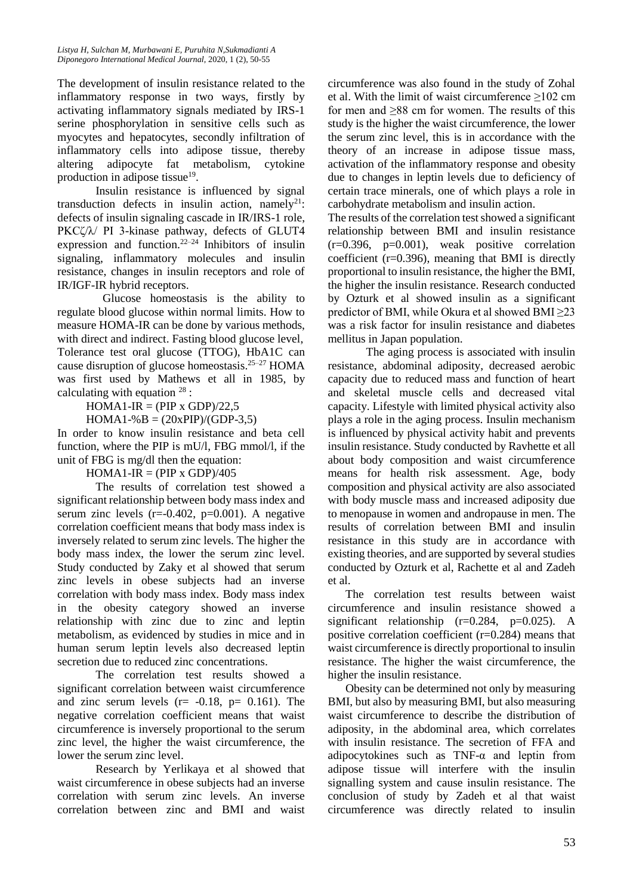The development of insulin resistance related to the inflammatory response in two ways, firstly by activating inflammatory signals mediated by IRS-1 serine phosphorylation in sensitive cells such as myocytes and hepatocytes, secondly infiltration of inflammatory cells into adipose tissue, thereby altering adipocyte fat metabolism, cytokine production in adipose tissue<sup>19</sup>.

Insulin resistance is influenced by signal transduction defects in insulin action, namely<sup>21</sup>: defects of insulin signaling cascade in IR/IRS-1 role, PKCζ/λ/ PI 3-kinase pathway, defects of GLUT4 expression and function. $22-24$  Inhibitors of insulin signaling, inflammatory molecules and insulin resistance, changes in insulin receptors and role of IR/IGF-IR hybrid receptors.

Glucose homeostasis is the ability to regulate blood glucose within normal limits. How to measure HOMA-IR can be done by various methods, with direct and indirect. Fasting blood glucose level, Tolerance test oral glucose (TTOG), HbA1C can cause disruption of glucose homeostasis.<sup>25-27</sup> HOMA was first used by Mathews et all in 1985, by calculating with equation  $28$ :

 $HOMA1-IR = (PIP x GDP)/22,5$ 

 $HOMA1-%B = (20xPIP)/(GDP-3,5)$ 

In order to know insulin resistance and beta cell function, where the PIP is mU/l, FBG mmol/l, if the unit of FBG is mg/dl then the equation:

 $HOMA1-IR = (PIP x GDP)/405$ 

The results of correlation test showed a significant relationship between body mass index and serum zinc levels  $(r=0.402, p=0.001)$ . A negative correlation coefficient means that body mass index is inversely related to serum zinc levels. The higher the body mass index, the lower the serum zinc level. Study conducted by Zaky et al showed that serum zinc levels in obese subjects had an inverse correlation with body mass index. Body mass index in the obesity category showed an inverse relationship with zinc due to zinc and leptin metabolism, as evidenced by studies in mice and in human serum leptin levels also decreased leptin secretion due to reduced zinc concentrations.

The correlation test results showed a significant correlation between waist circumference and zinc serum levels ( $r = -0.18$ ,  $p = 0.161$ ). The negative correlation coefficient means that waist circumference is inversely proportional to the serum zinc level, the higher the waist circumference, the lower the serum zinc level.

Research by Yerlikaya et al showed that waist circumference in obese subjects had an inverse correlation with serum zinc levels. An inverse correlation between zinc and BMI and waist circumference was also found in the study of Zohal et al. With the limit of waist circumference  $\geq$ 102 cm for men and  $\geq 88$  cm for women. The results of this study is the higher the waist circumference, the lower the serum zinc level, this is in accordance with the theory of an increase in adipose tissue mass, activation of the inflammatory response and obesity due to changes in leptin levels due to deficiency of certain trace minerals, one of which plays a role in carbohydrate metabolism and insulin action.

The results of the correlation test showed a significant relationship between BMI and insulin resistance (r=0.396, p=0.001), weak positive correlation coefficient (r=0.396), meaning that BMI is directly proportional to insulin resistance, the higher the BMI, the higher the insulin resistance. Research conducted by Ozturk et al showed insulin as a significant predictor of BMI, while Okura et al showed BMI ≥23 was a risk factor for insulin resistance and diabetes mellitus in Japan population.

The aging process is associated with insulin resistance, abdominal adiposity, decreased aerobic capacity due to reduced mass and function of heart and skeletal muscle cells and decreased vital capacity. Lifestyle with limited physical activity also plays a role in the aging process. Insulin mechanism is influenced by physical activity habit and prevents insulin resistance. Study conducted by Ravhette et all about body composition and waist circumference means for health risk assessment. Age, body composition and physical activity are also associated with body muscle mass and increased adiposity due to menopause in women and andropause in men. The results of correlation between BMI and insulin resistance in this study are in accordance with existing theories, and are supported by several studies conducted by Ozturk et al, Rachette et al and Zadeh et al.

The correlation test results between waist circumference and insulin resistance showed a significant relationship  $(r=0.284, p=0.025)$ . A positive correlation coefficient (r=0.284) means that waist circumference is directly proportional to insulin resistance. The higher the waist circumference, the higher the insulin resistance.

Obesity can be determined not only by measuring BMI, but also by measuring BMI, but also measuring waist circumference to describe the distribution of adiposity, in the abdominal area, which correlates with insulin resistance. The secretion of FFA and adipocytokines such as TNF-α and leptin from adipose tissue will interfere with the insulin signalling system and cause insulin resistance. The conclusion of study by Zadeh et al that waist circumference was directly related to insulin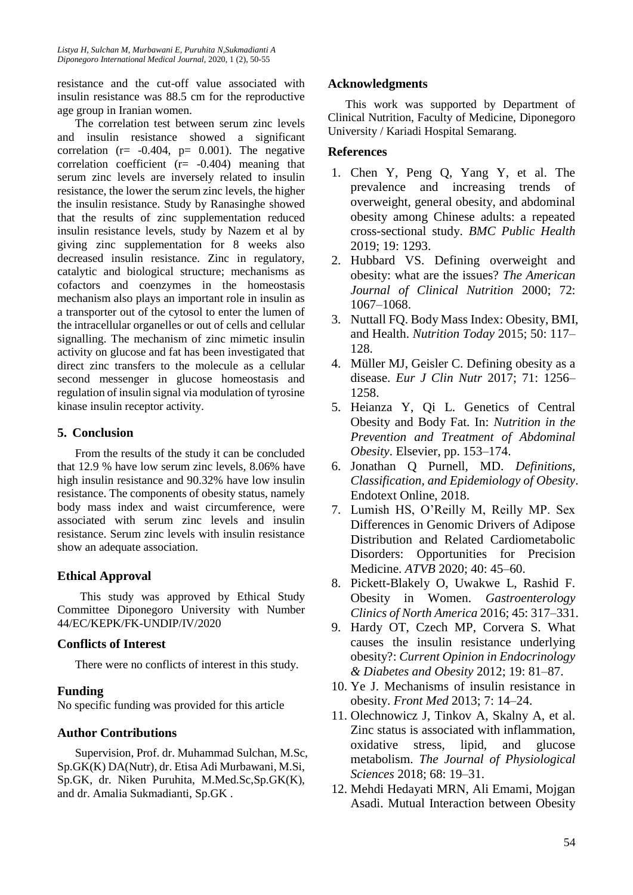resistance and the cut-off value associated with insulin resistance was 88.5 cm for the reproductive age group in Iranian women.

The correlation test between serum zinc levels and insulin resistance showed a significant correlation ( $r = -0.404$ ,  $p = 0.001$ ). The negative correlation coefficient  $(r= -0.404)$  meaning that serum zinc levels are inversely related to insulin resistance, the lower the serum zinc levels, the higher the insulin resistance. Study by Ranasinghe showed that the results of zinc supplementation reduced insulin resistance levels, study by Nazem et al by giving zinc supplementation for 8 weeks also decreased insulin resistance. Zinc in regulatory, catalytic and biological structure; mechanisms as cofactors and coenzymes in the homeostasis mechanism also plays an important role in insulin as a transporter out of the cytosol to enter the lumen of the intracellular organelles or out of cells and cellular signalling. The mechanism of zinc mimetic insulin activity on glucose and fat has been investigated that direct zinc transfers to the molecule as a cellular second messenger in glucose homeostasis and regulation of insulin signal via modulation of tyrosine kinase insulin receptor activity.

### **5. Conclusion**

From the results of the study it can be concluded that 12.9 % have low serum zinc levels, 8.06% have high insulin resistance and 90.32% have low insulin resistance. The components of obesity status, namely body mass index and waist circumference, were associated with serum zinc levels and insulin resistance. Serum zinc levels with insulin resistance show an adequate association.

# **Ethical Approval**

This study was approved by Ethical Study Committee Diponegoro University with Number 44/EC/KEPK/FK-UNDIP/IV/2020

# **Conflicts of Interest**

There were no conflicts of interest in this study.

# **Funding**

No specific funding was provided for this article

# **Author Contributions**

Supervision, Prof. dr. Muhammad Sulchan, M.Sc, Sp.GK(K) DA(Nutr), dr. Etisa Adi Murbawani, M.Si, Sp.GK, dr. Niken Puruhita, M.Med.Sc,Sp.GK(K), and dr. Amalia Sukmadianti, Sp.GK .

### **Acknowledgments**

This work was supported by Department of Clinical Nutrition, Faculty of Medicine, Diponegoro University / Kariadi Hospital Semarang.

### **References**

- 1. Chen Y, Peng Q, Yang Y, et al. The prevalence and increasing trends of overweight, general obesity, and abdominal obesity among Chinese adults: a repeated cross-sectional study. *BMC Public Health* 2019; 19: 1293.
- 2. Hubbard VS. Defining overweight and obesity: what are the issues? *The American Journal of Clinical Nutrition* 2000; 72: 1067–1068.
- 3. Nuttall FQ. Body Mass Index: Obesity, BMI, and Health. *Nutrition Today* 2015; 50: 117– 128.
- 4. Müller MJ, Geisler C. Defining obesity as a disease. *Eur J Clin Nutr* 2017; 71: 1256– 1258.
- 5. Heianza Y, Qi L. Genetics of Central Obesity and Body Fat. In: *Nutrition in the Prevention and Treatment of Abdominal Obesity*. Elsevier, pp. 153–174.
- 6. Jonathan Q Purnell, MD. *Definitions, Classification, and Epidemiology of Obesity*. Endotext Online, 2018.
- 7. Lumish HS, O'Reilly M, Reilly MP. Sex Differences in Genomic Drivers of Adipose Distribution and Related Cardiometabolic Disorders: Opportunities for Precision Medicine. *ATVB* 2020; 40: 45–60.
- 8. Pickett-Blakely O, Uwakwe L, Rashid F. Obesity in Women. *Gastroenterology Clinics of North America* 2016; 45: 317–331.
- 9. Hardy OT, Czech MP, Corvera S. What causes the insulin resistance underlying obesity?: *Current Opinion in Endocrinology & Diabetes and Obesity* 2012; 19: 81–87.
- 10. Ye J. Mechanisms of insulin resistance in obesity. *Front Med* 2013; 7: 14–24.
- 11. Olechnowicz J, Tinkov A, Skalny A, et al. Zinc status is associated with inflammation, oxidative stress, lipid, and glucose metabolism. *The Journal of Physiological Sciences* 2018; 68: 19–31.
- 12. Mehdi Hedayati MRN, Ali Emami, Mojgan Asadi. Mutual Interaction between Obesity